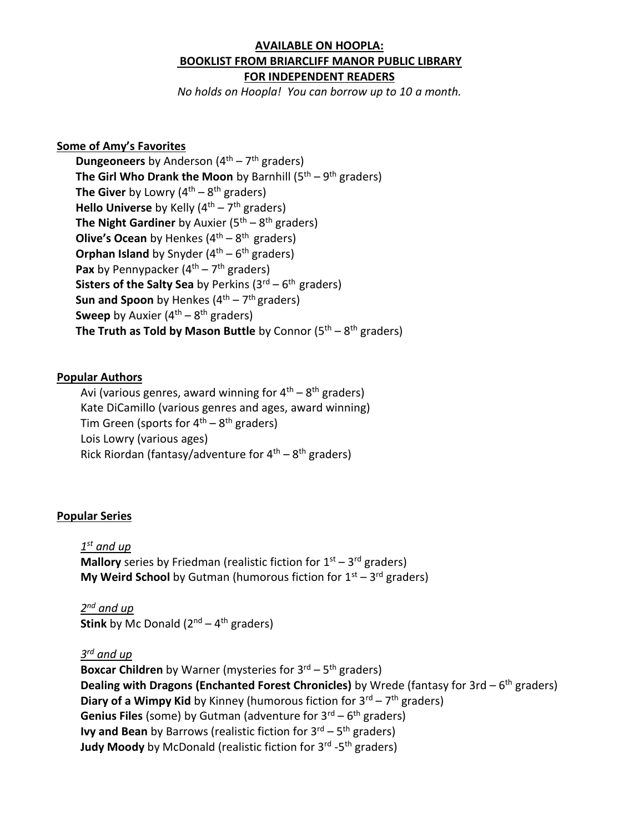# **AVAILABLE ON HOOPLA: BOOKLIST FROM BRIARCLIFF MANOR PUBLIC LIBRARY FOR INDEPENDENT READERS**

*No holds on Hoopla! You can borrow up to 10 a month.*

### **Some of Amy's Favorites**

**Dungeoneers** by Anderson (4<sup>th</sup> – 7<sup>th</sup> graders) **The Girl Who Drank the Moon** by Barnhill (5<sup>th</sup> – 9<sup>th</sup> graders) **The Giver** by Lowry (4<sup>th</sup> – 8<sup>th</sup> graders) Hello Universe by Kelly (4<sup>th</sup> – 7<sup>th</sup> graders) **The Night Gardiner** by Auxier (5<sup>th</sup> – 8<sup>th</sup> graders) **Olive's Ocean** by Henkes (4<sup>th</sup> – 8<sup>th</sup> graders) **Orphan Island** by Snyder (4<sup>th</sup> – 6<sup>th</sup> graders) Pax by Pennypacker (4<sup>th</sup> – 7<sup>th</sup> graders) **Sisters of the Salty Sea** by Perkins (3<sup>rd</sup> – 6<sup>th</sup> graders) **Sun and Spoon** by Henkes (4<sup>th</sup> – 7<sup>th</sup> graders) **Sweep** by Auxier (4<sup>th</sup> – 8<sup>th</sup> graders) **The Truth as Told by Mason Buttle** by Connor (5<sup>th</sup> – 8<sup>th</sup> graders)

#### **Popular Authors**

Avi (various genres, award winning for 4<sup>th</sup> – 8<sup>th</sup> graders) Kate DiCamillo (various genres and ages, award winning) Tim Green (sports for 4<sup>th</sup> – 8<sup>th</sup> graders) Lois Lowry (various ages) Rick Riordan (fantasy/adventure for  $4^{\text{th}} - 8^{\text{th}}$  graders)

#### **Popular Series**

*1 st and up* **Mallory** series by Friedman (realistic fiction for 1<sup>st</sup> – 3<sup>rd</sup> graders) **My Weird School** by Gutman (humorous fiction for 1<sup>st</sup> – 3<sup>rd</sup> graders)

*2 nd and up* **Stink** by Mc Donald (2<sup>nd</sup> – 4<sup>th</sup> graders)

## *3 rd and up*

**Boxcar Children** by Warner (mysteries for 3<sup>rd</sup> – 5<sup>th</sup> graders) **Dealing with Dragons (Enchanted Forest Chronicles)** by Wrede (fantasy for 3rd – 6 th graders) **Diary of a Wimpy Kid** by Kinney (humorous fiction for 3<sup>rd</sup> – 7<sup>th</sup> graders) **Genius Files** (some) by Gutman (adventure for 3<sup>rd</sup> – 6<sup>th</sup> graders) **Ivy and Bean** by Barrows (realistic fiction for 3<sup>rd</sup> – 5<sup>th</sup> graders) **Judy Moody** by McDonald (realistic fiction for 3<sup>rd</sup> -5<sup>th</sup> graders)